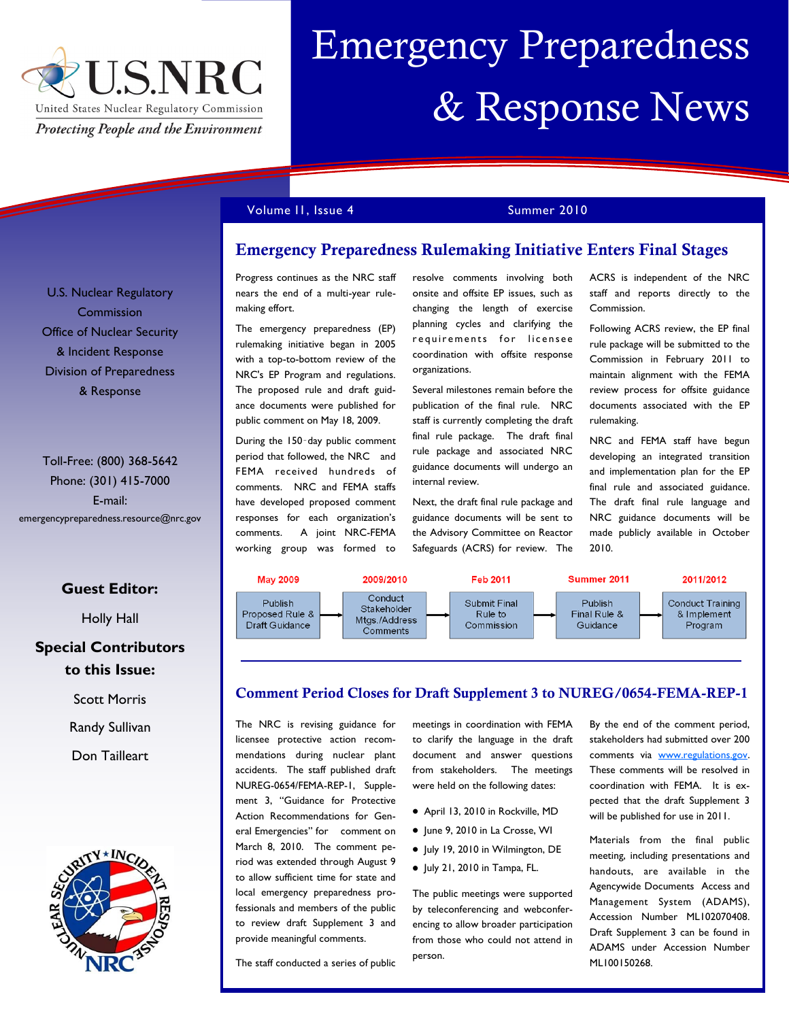

# Emergency Preparedness & Response News

Volume II, Issue 4 Summer 2010

**Emergency Preparedness Rulemaking Initiative Enters Final Stages**

Progress continues as the NRC staff nears the end of a multi-year rulemaking effort.

The emergency preparedness (EP) rulemaking initiative began in 2005 with a top-to-bottom review of the NRC's EP Program and regulations. The proposed rule and draft guidance documents were published for public comment on May 18, 2009.

During the 150‑day public comment period that followed, the NRC and FEMA received hundreds of comments. NRC and FEMA staffs have developed proposed comment responses for each organization's comments. A joint NRC-FEMA working group was formed to

resolve comments involving both onsite and offsite EP issues, such as changing the length of exercise planning cycles and clarifying the requirements for licensee coordination with offsite response organizations.

Several milestones remain before the publication of the final rule. NRC staff is currently completing the draft final rule package. The draft final rule package and associated NRC guidance documents will undergo an internal review.

Next, the draft final rule package and guidance documents will be sent to the Advisory Committee on Reactor Safeguards (ACRS) for review. The ACRS is independent of the NRC staff and reports directly to the Commission.

Following ACRS review, the EP final rule package will be submitted to the Commission in February 2011 to maintain alignment with the FEMA review process for offsite guidance documents associated with the EP rulemaking.

NRC and FEMA staff have begun developing an integrated transition and implementation plan for the EP final rule and associated guidance. The draft final rule language and NRC guidance documents will be made publicly available in October 2010.



#### **Comment Period Closes for Draft Supplement 3 to NUREG/0654-FEMA-REP-1**

meetings in coordination with FEMA

The NRC is revising guidance for licensee protective action recommendations during nuclear plant accidents. The staff published draft NUREG-0654/FEMA-REP-1, Supplement 3, "Guidance for Protective Action Recommendations for General Emergencies" for comment on March 8, 2010. The comment period was extended through August 9 to allow sufficient time for state and local emergency preparedness professionals and members of the public to review draft Supplement 3 and provide meaningful comments.

The staff conducted a series of public

to clarify the language in the draft document and answer questions from stakeholders. The meetings were held on the following dates:

- April 13, 2010 in Rockville, MD
- June 9, 2010 in La Crosse, WI
- July 19, 2010 in Wilmington, DE
- $\bullet$  July 21, 2010 in Tampa, FL.

The public meetings were supported by teleconferencing and webconferencing to allow broader participation from those who could not attend in person.

By the end of the comment period, stakeholders had submitted over 200 comments via [www.regulations.gov.](http://www.regulations.gov) These comments will be resolved in coordination with FEMA. It is expected that the draft Supplement 3 will be published for use in 2011.

Materials from the final public meeting, including presentations and handouts, are available in the Agencywide Documents Access and Management System (ADAMS), Accession Number ML102070408. Draft Supplement 3 can be found in ADAMS under Accession Number ML100150268.

U.S. Nuclear Regulatory Commission Office of Nuclear Security & Incident Response Division of Preparedness & Response

Toll-Free: (800) 368-5642 Phone: (301) 415-7000 E-mail: emergencypreparedness.resource@nrc.gov

#### **Guest Editor:**

Holly Hall

#### **Special Contributors to this Issue:**

Scott Morris

Randy Sullivan

Don Tailleart